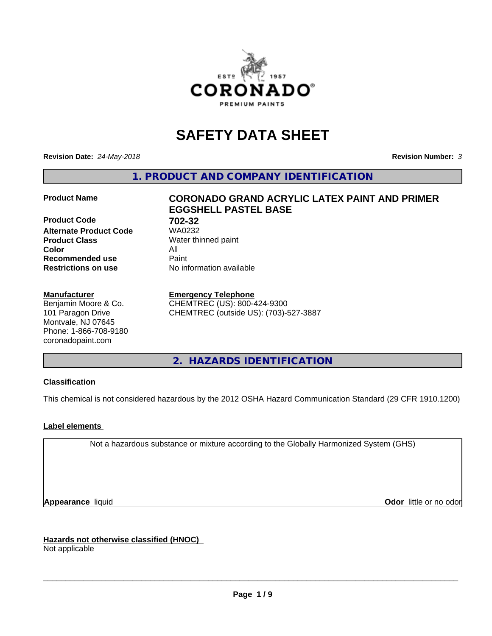

# **SAFETY DATA SHEET**

**Revision Date:** *24-May-2018* **Revision Number:** *3*

**1. PRODUCT AND COMPANY IDENTIFICATION**

**Product Code 61 702-32**<br>**Alternate Product Code 61 702-32 Alternate Product Code Product Class** Water thinned paint<br> **Color** All **Color** All **Recommended use Caint Restrictions on use** No information available

#### **Manufacturer**

Benjamin Moore & Co. 101 Paragon Drive Montvale, NJ 07645 Phone: 1-866-708-9180 coronadopaint.com

## **Product Name CORONADO GRAND ACRYLIC LATEX PAINT AND PRIMER EGGSHELL PASTEL BASE**

#### **Emergency Telephone**

CHEMTREC (US): 800-424-9300 CHEMTREC (outside US): (703)-527-3887

**2. HAZARDS IDENTIFICATION**

#### **Classification**

This chemical is not considered hazardous by the 2012 OSHA Hazard Communication Standard (29 CFR 1910.1200)

#### **Label elements**

Not a hazardous substance or mixture according to the Globally Harmonized System (GHS)

**Appearance** liquid **Contract Contract Contract Contract Contract Contract Contract Contract Contract Contract Contract Contract Contract Contract Contract Contract Contract Contract Contract Contract Contract Contract Con** 

**Hazards not otherwise classified (HNOC)**

Not applicable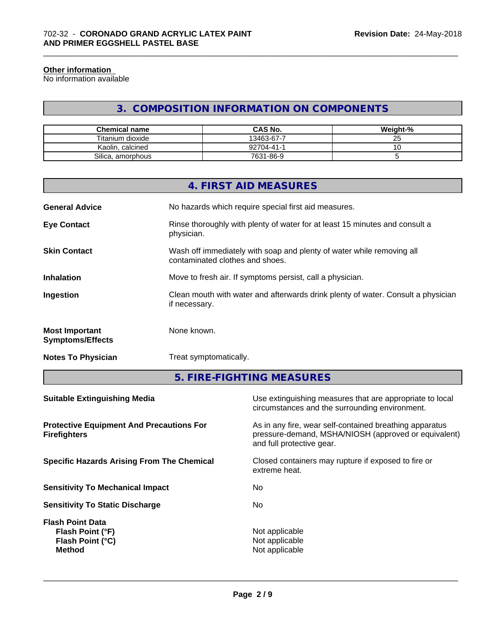#### **Other information**

No information available

## **3. COMPOSITION INFORMATION ON COMPONENTS**

\_\_\_\_\_\_\_\_\_\_\_\_\_\_\_\_\_\_\_\_\_\_\_\_\_\_\_\_\_\_\_\_\_\_\_\_\_\_\_\_\_\_\_\_\_\_\_\_\_\_\_\_\_\_\_\_\_\_\_\_\_\_\_\_\_\_\_\_\_\_\_\_\_\_\_\_\_\_\_\_\_\_\_\_\_\_\_\_\_\_\_\_\_

| <b>Chemical name</b> | <b>CAS No.</b> | Weight-% |
|----------------------|----------------|----------|
| Titanium dioxide     | 13463-67-7     | ∼        |
| Kaolin, calcined     | 92704-41-      | ັ        |
| Silica, amorphous    | 7631-86-9      |          |

|                                                  | 4. FIRST AID MEASURES                                                                                    |
|--------------------------------------------------|----------------------------------------------------------------------------------------------------------|
| <b>General Advice</b>                            | No hazards which require special first aid measures.                                                     |
| <b>Eye Contact</b>                               | Rinse thoroughly with plenty of water for at least 15 minutes and consult a<br>physician.                |
| <b>Skin Contact</b>                              | Wash off immediately with soap and plenty of water while removing all<br>contaminated clothes and shoes. |
| <b>Inhalation</b>                                | Move to fresh air. If symptoms persist, call a physician.                                                |
| Ingestion                                        | Clean mouth with water and afterwards drink plenty of water. Consult a physician<br>if necessary.        |
| <b>Most Important</b><br><b>Symptoms/Effects</b> | None known.                                                                                              |
| <b>Notes To Physician</b>                        | Treat symptomatically.                                                                                   |
|                                                  |                                                                                                          |

**5. FIRE-FIGHTING MEASURES**

| Use extinguishing measures that are appropriate to local<br>circumstances and the surrounding environment.                                   |
|----------------------------------------------------------------------------------------------------------------------------------------------|
| As in any fire, wear self-contained breathing apparatus<br>pressure-demand, MSHA/NIOSH (approved or equivalent)<br>and full protective gear. |
| Closed containers may rupture if exposed to fire or<br>extreme heat.                                                                         |
| No                                                                                                                                           |
| No.                                                                                                                                          |
| Not applicable<br>Not applicable<br>Not applicable                                                                                           |
|                                                                                                                                              |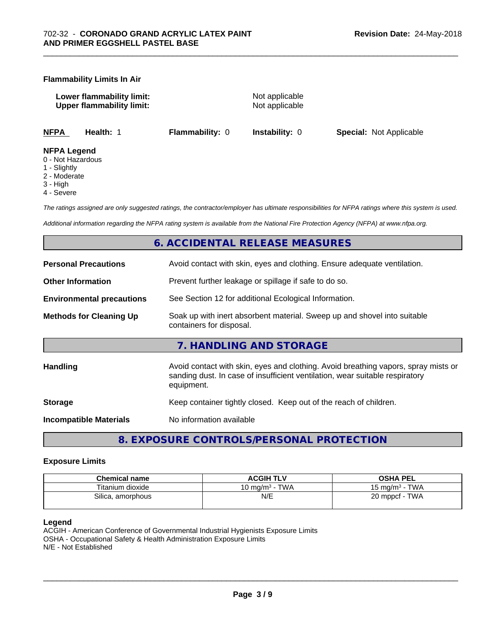#### **Flammability Limits In Air**

**Lower flammability limit:** Not applicable **Upper flammability limit:** Not applicable

\_\_\_\_\_\_\_\_\_\_\_\_\_\_\_\_\_\_\_\_\_\_\_\_\_\_\_\_\_\_\_\_\_\_\_\_\_\_\_\_\_\_\_\_\_\_\_\_\_\_\_\_\_\_\_\_\_\_\_\_\_\_\_\_\_\_\_\_\_\_\_\_\_\_\_\_\_\_\_\_\_\_\_\_\_\_\_\_\_\_\_\_\_

**NFPA Health:** 1 **Flammability:** 0 **Instability:** 0 **Special:** Not Applicable

#### **NFPA Legend**

- 0 Not Hazardous
- 1 Slightly
- 2 Moderate
- 3 High
- 4 Severe

*The ratings assigned are only suggested ratings, the contractor/employer has ultimate responsibilities for NFPA ratings where this system is used.*

*Additional information regarding the NFPA rating system is available from the National Fire Protection Agency (NFPA) at www.nfpa.org.*

### **6. ACCIDENTAL RELEASE MEASURES**

| <b>Personal Precautions</b>      | Avoid contact with skin, eyes and clothing. Ensure adequate ventilation.                                                                                                         |
|----------------------------------|----------------------------------------------------------------------------------------------------------------------------------------------------------------------------------|
| <b>Other Information</b>         | Prevent further leakage or spillage if safe to do so.                                                                                                                            |
| <b>Environmental precautions</b> | See Section 12 for additional Ecological Information.                                                                                                                            |
| <b>Methods for Cleaning Up</b>   | Soak up with inert absorbent material. Sweep up and shovel into suitable<br>containers for disposal.                                                                             |
|                                  | 7. HANDLING AND STORAGE                                                                                                                                                          |
| Handling                         | Avoid contact with skin, eyes and clothing. Avoid breathing vapors, spray mists or<br>sanding dust. In case of insufficient ventilation, wear suitable respiratory<br>equipment. |
| <b>Storage</b>                   | Keep container tightly closed. Keep out of the reach of children.                                                                                                                |
| <b>Incompatible Materials</b>    | No information available                                                                                                                                                         |
|                                  |                                                                                                                                                                                  |

**8. EXPOSURE CONTROLS/PERSONAL PROTECTION**

#### **Exposure Limits**

| <b>Chemical name</b> | <b>ACGIH TLV</b>  | <b>OSHA PEL</b>                   |
|----------------------|-------------------|-----------------------------------|
| Titanium dioxide     | TWA<br>10 ma/mª - | <b>TWA</b><br>$15 \text{ ma/m}^3$ |
| Silica.<br>amorphous | N/E               | TWA<br>20 mppcf                   |

#### **Legend**

ACGIH - American Conference of Governmental Industrial Hygienists Exposure Limits OSHA - Occupational Safety & Health Administration Exposure Limits N/E - Not Established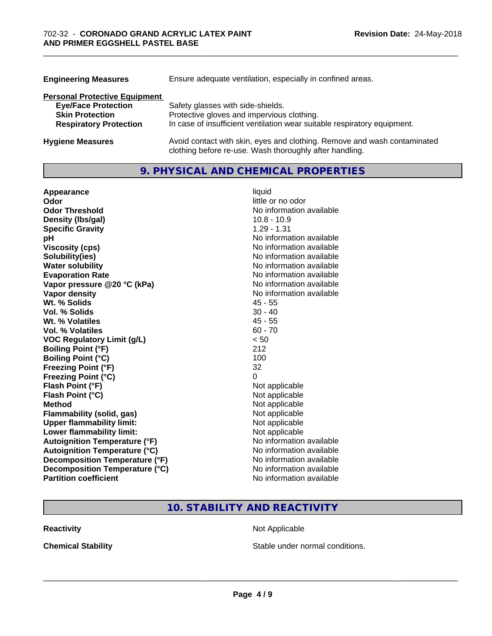| <b>Engineering Measures</b>          | Ensure adequate ventilation, especially in confined areas.                                                                          |  |
|--------------------------------------|-------------------------------------------------------------------------------------------------------------------------------------|--|
| <b>Personal Protective Equipment</b> |                                                                                                                                     |  |
| <b>Eye/Face Protection</b>           | Safety glasses with side-shields.                                                                                                   |  |
| <b>Skin Protection</b>               | Protective gloves and impervious clothing.                                                                                          |  |
| <b>Respiratory Protection</b>        | In case of insufficient ventilation wear suitable respiratory equipment.                                                            |  |
| <b>Hygiene Measures</b>              | Avoid contact with skin, eyes and clothing. Remove and wash contaminated<br>clothing before re-use. Wash thoroughly after handling. |  |

\_\_\_\_\_\_\_\_\_\_\_\_\_\_\_\_\_\_\_\_\_\_\_\_\_\_\_\_\_\_\_\_\_\_\_\_\_\_\_\_\_\_\_\_\_\_\_\_\_\_\_\_\_\_\_\_\_\_\_\_\_\_\_\_\_\_\_\_\_\_\_\_\_\_\_\_\_\_\_\_\_\_\_\_\_\_\_\_\_\_\_\_\_

## **9. PHYSICAL AND CHEMICAL PROPERTIES**

| Appearance                           | liquid                   |
|--------------------------------------|--------------------------|
| Odor                                 | little or no odor        |
| <b>Odor Threshold</b>                | No information available |
| Density (Ibs/gal)                    | $10.8 - 10.9$            |
| <b>Specific Gravity</b>              | $1.29 - 1.31$            |
| рH                                   | No information available |
| <b>Viscosity (cps)</b>               | No information available |
| Solubility(ies)                      | No information available |
| <b>Water solubility</b>              | No information available |
| <b>Evaporation Rate</b>              | No information available |
| Vapor pressure @20 °C (kPa)          | No information available |
| Vapor density                        | No information available |
| Wt. % Solids                         | $45 - 55$                |
| Vol. % Solids                        | $30 - 40$                |
| Wt. % Volatiles                      | $45 - 55$                |
| Vol. % Volatiles                     | $60 - 70$                |
| <b>VOC Regulatory Limit (g/L)</b>    | < 50                     |
| <b>Boiling Point (°F)</b>            | 212                      |
| <b>Boiling Point (°C)</b>            | 100                      |
| <b>Freezing Point (°F)</b>           | 32                       |
| <b>Freezing Point (°C)</b>           | 0                        |
| Flash Point (°F)                     | Not applicable           |
| Flash Point (°C)                     | Not applicable           |
| <b>Method</b>                        | Not applicable           |
| <b>Flammability (solid, gas)</b>     | Not applicable           |
| <b>Upper flammability limit:</b>     | Not applicable           |
| Lower flammability limit:            | Not applicable           |
| <b>Autoignition Temperature (°F)</b> | No information available |
| <b>Autoignition Temperature (°C)</b> | No information available |
| Decomposition Temperature (°F)       | No information available |
| Decomposition Temperature (°C)       | No information available |
| <b>Partition coefficient</b>         | No information available |

## **10. STABILITY AND REACTIVITY**

**Reactivity Not Applicable** Not Applicable

**Chemical Stability Chemical Stability** Stable under normal conditions.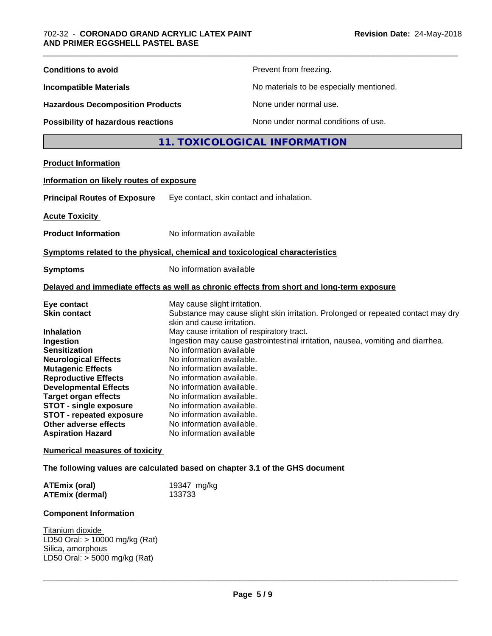| <b>Conditions to avoid</b><br>Prevent from freezing.                                                                                                                                                                                                                                                                                                                                                                                                                                                                                                                                                                                                                                                                                                                                                                                                                                                                                                        |
|-------------------------------------------------------------------------------------------------------------------------------------------------------------------------------------------------------------------------------------------------------------------------------------------------------------------------------------------------------------------------------------------------------------------------------------------------------------------------------------------------------------------------------------------------------------------------------------------------------------------------------------------------------------------------------------------------------------------------------------------------------------------------------------------------------------------------------------------------------------------------------------------------------------------------------------------------------------|
|                                                                                                                                                                                                                                                                                                                                                                                                                                                                                                                                                                                                                                                                                                                                                                                                                                                                                                                                                             |
| No materials to be especially mentioned.<br><b>Incompatible Materials</b>                                                                                                                                                                                                                                                                                                                                                                                                                                                                                                                                                                                                                                                                                                                                                                                                                                                                                   |
| <b>Hazardous Decomposition Products</b><br>None under normal use.                                                                                                                                                                                                                                                                                                                                                                                                                                                                                                                                                                                                                                                                                                                                                                                                                                                                                           |
| None under normal conditions of use.<br>Possibility of hazardous reactions                                                                                                                                                                                                                                                                                                                                                                                                                                                                                                                                                                                                                                                                                                                                                                                                                                                                                  |
| 11. TOXICOLOGICAL INFORMATION                                                                                                                                                                                                                                                                                                                                                                                                                                                                                                                                                                                                                                                                                                                                                                                                                                                                                                                               |
| <b>Product Information</b>                                                                                                                                                                                                                                                                                                                                                                                                                                                                                                                                                                                                                                                                                                                                                                                                                                                                                                                                  |
| Information on likely routes of exposure                                                                                                                                                                                                                                                                                                                                                                                                                                                                                                                                                                                                                                                                                                                                                                                                                                                                                                                    |
| <b>Principal Routes of Exposure</b><br>Eye contact, skin contact and inhalation.                                                                                                                                                                                                                                                                                                                                                                                                                                                                                                                                                                                                                                                                                                                                                                                                                                                                            |
| <b>Acute Toxicity</b>                                                                                                                                                                                                                                                                                                                                                                                                                                                                                                                                                                                                                                                                                                                                                                                                                                                                                                                                       |
| <b>Product Information</b><br>No information available                                                                                                                                                                                                                                                                                                                                                                                                                                                                                                                                                                                                                                                                                                                                                                                                                                                                                                      |
| Symptoms related to the physical, chemical and toxicological characteristics                                                                                                                                                                                                                                                                                                                                                                                                                                                                                                                                                                                                                                                                                                                                                                                                                                                                                |
| No information available<br><b>Symptoms</b>                                                                                                                                                                                                                                                                                                                                                                                                                                                                                                                                                                                                                                                                                                                                                                                                                                                                                                                 |
| Delayed and immediate effects as well as chronic effects from short and long-term exposure                                                                                                                                                                                                                                                                                                                                                                                                                                                                                                                                                                                                                                                                                                                                                                                                                                                                  |
| May cause slight irritation.<br>Eye contact<br>Substance may cause slight skin irritation. Prolonged or repeated contact may dry<br><b>Skin contact</b><br>skin and cause irritation.<br>Inhalation<br>May cause irritation of respiratory tract.<br>Ingestion may cause gastrointestinal irritation, nausea, vomiting and diarrhea.<br>Ingestion<br>No information available<br><b>Sensitization</b><br>No information available.<br><b>Neurological Effects</b><br><b>Mutagenic Effects</b><br>No information available.<br><b>Reproductive Effects</b><br>No information available.<br><b>Developmental Effects</b><br>No information available.<br><b>Target organ effects</b><br>No information available.<br><b>STOT - single exposure</b><br>No information available.<br>No information available.<br><b>STOT - repeated exposure</b><br>Other adverse effects<br>No information available.<br>No information available<br><b>Aspiration Hazard</b> |
| <b>Numerical measures of toxicity</b>                                                                                                                                                                                                                                                                                                                                                                                                                                                                                                                                                                                                                                                                                                                                                                                                                                                                                                                       |
| The following values are calculated based on chapter 3.1 of the GHS document                                                                                                                                                                                                                                                                                                                                                                                                                                                                                                                                                                                                                                                                                                                                                                                                                                                                                |
| 19347 mg/kg<br><b>ATEmix (oral)</b><br>133733<br><b>ATEmix (dermal)</b>                                                                                                                                                                                                                                                                                                                                                                                                                                                                                                                                                                                                                                                                                                                                                                                                                                                                                     |
| <b>Component Information</b>                                                                                                                                                                                                                                                                                                                                                                                                                                                                                                                                                                                                                                                                                                                                                                                                                                                                                                                                |
| Titanium dioxide<br>LD50 Oral: > 10000 mg/kg (Rat)<br>Silica, amorphous<br>LD50 Oral: > 5000 mg/kg (Rat)                                                                                                                                                                                                                                                                                                                                                                                                                                                                                                                                                                                                                                                                                                                                                                                                                                                    |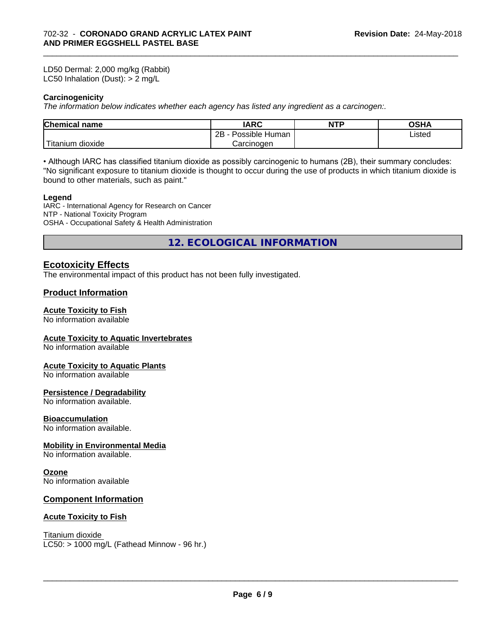LD50 Dermal: 2,000 mg/kg (Rabbit) LC50 Inhalation (Dust): > 2 mg/L

#### **Carcinogenicity**

*The information below indicateswhether each agency has listed any ingredient as a carcinogen:.*

| <b>Chemical</b><br>name          | <b>IARC</b>                 | <b>NTP</b> | $\sim$ $\sim$<br>UJ⊓r |  |
|----------------------------------|-----------------------------|------------|-----------------------|--|
|                                  | <br>2B<br>Human<br>Possible |            | Listed                |  |
| .<br>. dioxide<br><b>itanium</b> | Carcinogen                  |            |                       |  |

\_\_\_\_\_\_\_\_\_\_\_\_\_\_\_\_\_\_\_\_\_\_\_\_\_\_\_\_\_\_\_\_\_\_\_\_\_\_\_\_\_\_\_\_\_\_\_\_\_\_\_\_\_\_\_\_\_\_\_\_\_\_\_\_\_\_\_\_\_\_\_\_\_\_\_\_\_\_\_\_\_\_\_\_\_\_\_\_\_\_\_\_\_

• Although IARC has classified titanium dioxide as possibly carcinogenic to humans (2B), their summary concludes: "No significant exposure to titanium dioxide is thought to occur during the use of products in which titanium dioxide is bound to other materials, such as paint."

#### **Legend**

IARC - International Agency for Research on Cancer NTP - National Toxicity Program OSHA - Occupational Safety & Health Administration

**12. ECOLOGICAL INFORMATION**

### **Ecotoxicity Effects**

The environmental impact of this product has not been fully investigated.

#### **Product Information**

#### **Acute Toxicity to Fish**

No information available

#### **Acute Toxicity to Aquatic Invertebrates**

No information available

#### **Acute Toxicity to Aquatic Plants**

No information available

#### **Persistence / Degradability**

No information available.

#### **Bioaccumulation**

No information available.

#### **Mobility in Environmental Media**

No information available.

#### **Ozone**

No information available

#### **Component Information**

#### **Acute Toxicity to Fish**

Titanium dioxide

 $LC50:$  > 1000 mg/L (Fathead Minnow - 96 hr.)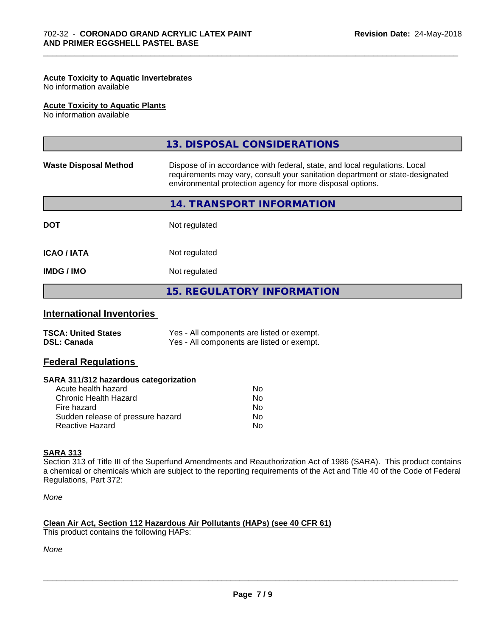#### **Acute Toxicity to Aquatic Invertebrates**

No information available

#### **Acute Toxicity to Aquatic Plants**

No information available

|                              | 13. DISPOSAL CONSIDERATIONS                                                                                                                                                                                               |
|------------------------------|---------------------------------------------------------------------------------------------------------------------------------------------------------------------------------------------------------------------------|
| <b>Waste Disposal Method</b> | Dispose of in accordance with federal, state, and local regulations. Local<br>requirements may vary, consult your sanitation department or state-designated<br>environmental protection agency for more disposal options. |
|                              | 14. TRANSPORT INFORMATION                                                                                                                                                                                                 |
| <b>DOT</b>                   | Not regulated                                                                                                                                                                                                             |
| <b>ICAO / IATA</b>           | Not regulated                                                                                                                                                                                                             |
| <b>IMDG/IMO</b>              | Not regulated                                                                                                                                                                                                             |
|                              | <b>15. REGULATORY INFORMATION</b>                                                                                                                                                                                         |
|                              |                                                                                                                                                                                                                           |

\_\_\_\_\_\_\_\_\_\_\_\_\_\_\_\_\_\_\_\_\_\_\_\_\_\_\_\_\_\_\_\_\_\_\_\_\_\_\_\_\_\_\_\_\_\_\_\_\_\_\_\_\_\_\_\_\_\_\_\_\_\_\_\_\_\_\_\_\_\_\_\_\_\_\_\_\_\_\_\_\_\_\_\_\_\_\_\_\_\_\_\_\_

#### **International Inventories**

| <b>TSCA: United States</b> | Yes - All components are listed or exempt. |
|----------------------------|--------------------------------------------|
| <b>DSL: Canada</b>         | Yes - All components are listed or exempt. |

#### **Federal Regulations**

| SARA 311/312 hazardous categorization |  |
|---------------------------------------|--|
|---------------------------------------|--|

| Acute health hazard               | No |
|-----------------------------------|----|
| Chronic Health Hazard             | Nο |
| Fire hazard                       | N٥ |
| Sudden release of pressure hazard | Nο |
| Reactive Hazard                   | N٥ |

#### **SARA 313**

Section 313 of Title III of the Superfund Amendments and Reauthorization Act of 1986 (SARA). This product contains a chemical or chemicals which are subject to the reporting requirements of the Act and Title 40 of the Code of Federal Regulations, Part 372:

*None*

## **Clean Air Act,Section 112 Hazardous Air Pollutants (HAPs) (see 40 CFR 61)**

This product contains the following HAPs:

*None*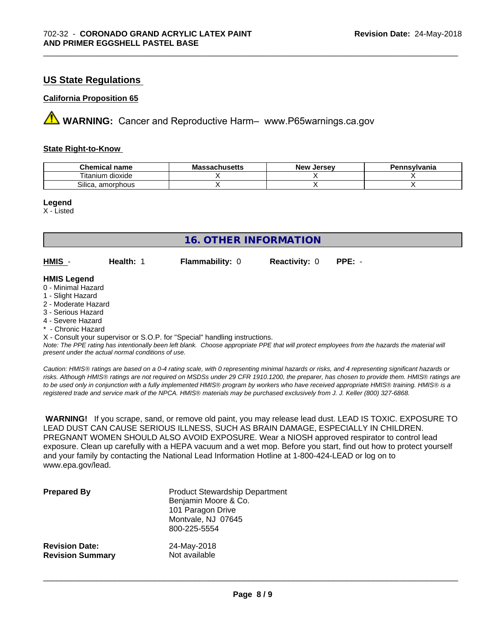#### **US State Regulations**

#### **California Proposition 65**

**A** WARNING: Cancer and Reproductive Harm– www.P65warnings.ca.gov

#### **State Right-to-Know**

| Chemical<br>name                       | - -<br>3081100 <b>11</b> 0<br>IVIA<br>aunuscus | <b>Jerse</b> v<br><b>Nev</b> | าnsvlvania |
|----------------------------------------|------------------------------------------------|------------------------------|------------|
| $-$<br>.<br>dioxide<br>.um<br>. itanii |                                                |                              |            |
| Silica.<br>. amorphous                 |                                                |                              |            |

\_\_\_\_\_\_\_\_\_\_\_\_\_\_\_\_\_\_\_\_\_\_\_\_\_\_\_\_\_\_\_\_\_\_\_\_\_\_\_\_\_\_\_\_\_\_\_\_\_\_\_\_\_\_\_\_\_\_\_\_\_\_\_\_\_\_\_\_\_\_\_\_\_\_\_\_\_\_\_\_\_\_\_\_\_\_\_\_\_\_\_\_\_

**Legend**

X - Listed

| 16. OTHER INFORMATION                                                                                                                                                                                       |           |                                                                            |                      |                                                                                                                                               |  |  |
|-------------------------------------------------------------------------------------------------------------------------------------------------------------------------------------------------------------|-----------|----------------------------------------------------------------------------|----------------------|-----------------------------------------------------------------------------------------------------------------------------------------------|--|--|
| HMIS -                                                                                                                                                                                                      | Health: 1 | <b>Flammability: 0</b>                                                     | <b>Reactivity: 0</b> | $PPE: -$                                                                                                                                      |  |  |
| <b>HMIS Legend</b><br>0 - Minimal Hazard<br>1 - Slight Hazard<br>2 - Moderate Hazard<br>3 - Serious Hazard<br>4 - Severe Hazard<br>* - Chronic Hazard<br>present under the actual normal conditions of use. |           | X - Consult your supervisor or S.O.P. for "Special" handling instructions. |                      | Note: The PPE rating has intentionally been left blank. Choose appropriate PPE that will protect employees from the hazards the material will |  |  |

*Caution: HMISÒ ratings are based on a 0-4 rating scale, with 0 representing minimal hazards or risks, and 4 representing significant hazards or risks. Although HMISÒ ratings are not required on MSDSs under 29 CFR 1910.1200, the preparer, has chosen to provide them. HMISÒ ratings are to be used only in conjunction with a fully implemented HMISÒ program by workers who have received appropriate HMISÒ training. HMISÒ is a registered trade and service mark of the NPCA. HMISÒ materials may be purchased exclusively from J. J. Keller (800) 327-6868.*

 **WARNING!** If you scrape, sand, or remove old paint, you may release lead dust. LEAD IS TOXIC. EXPOSURE TO LEAD DUST CAN CAUSE SERIOUS ILLNESS, SUCH AS BRAIN DAMAGE, ESPECIALLY IN CHILDREN. PREGNANT WOMEN SHOULD ALSO AVOID EXPOSURE. Wear a NIOSH approved respirator to control lead exposure. Clean up carefully with a HEPA vacuum and a wet mop. Before you start, find out how to protect yourself and your family by contacting the National Lead Information Hotline at 1-800-424-LEAD or log on to www.epa.gov/lead.

| <b>Prepared By</b>      | <b>Product Stewardship Department</b><br>Benjamin Moore & Co.<br>101 Paragon Drive<br>Montvale, NJ 07645<br>800-225-5554 |
|-------------------------|--------------------------------------------------------------------------------------------------------------------------|
| <b>Revision Date:</b>   | 24-May-2018                                                                                                              |
| <b>Revision Summary</b> | Not available                                                                                                            |